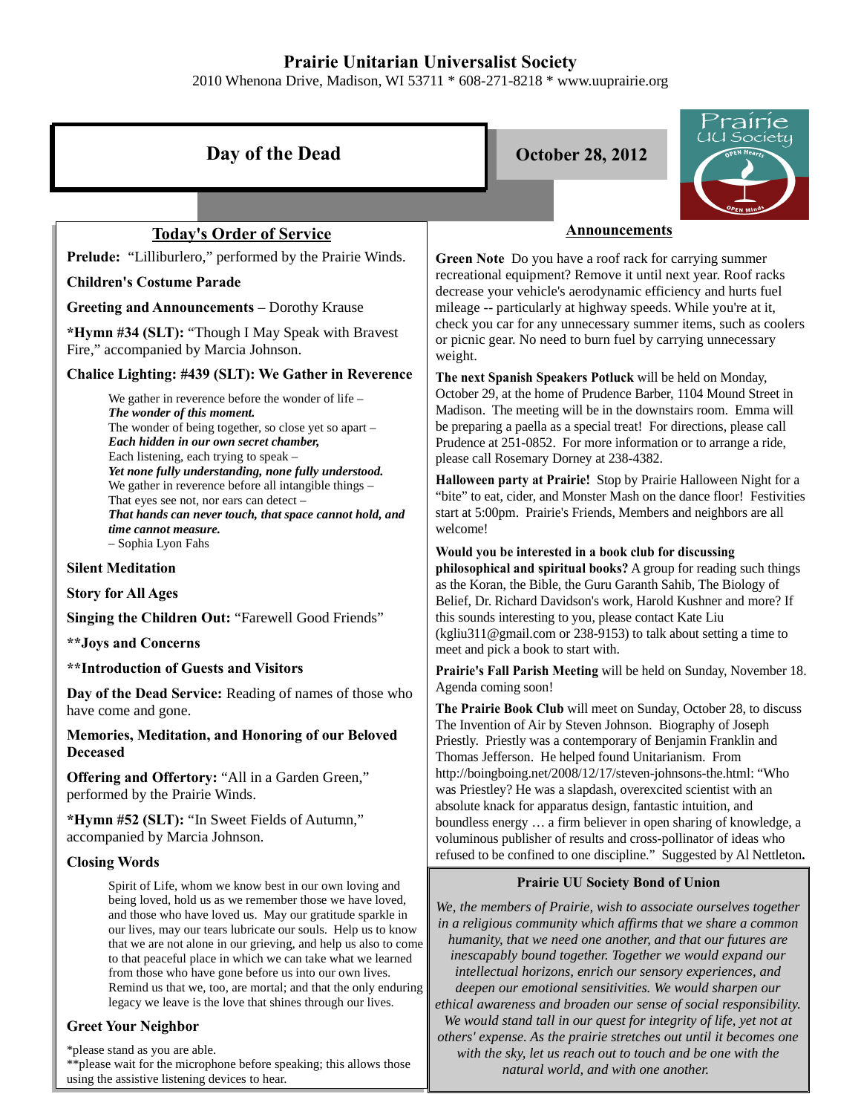# **Prairie Unitarian Universalist Society**

2010 Whenona Drive, Madison, WI 53711 \* 608-271-8218 \* www.uuprairie.org

| Day of the Dead                                                                                                                                                                                                                                                                                                                                                                                                                                                                                                                                                               | rairie<br>JU Society<br><b>October 28, 2012</b><br>EN Hearts                                                                                                                                                                                                                                                                                                                                                                                                                                                                                                |
|-------------------------------------------------------------------------------------------------------------------------------------------------------------------------------------------------------------------------------------------------------------------------------------------------------------------------------------------------------------------------------------------------------------------------------------------------------------------------------------------------------------------------------------------------------------------------------|-------------------------------------------------------------------------------------------------------------------------------------------------------------------------------------------------------------------------------------------------------------------------------------------------------------------------------------------------------------------------------------------------------------------------------------------------------------------------------------------------------------------------------------------------------------|
|                                                                                                                                                                                                                                                                                                                                                                                                                                                                                                                                                                               |                                                                                                                                                                                                                                                                                                                                                                                                                                                                                                                                                             |
| <b>Today's Order of Service</b>                                                                                                                                                                                                                                                                                                                                                                                                                                                                                                                                               | <b>Announcements</b>                                                                                                                                                                                                                                                                                                                                                                                                                                                                                                                                        |
| Prelude: "Lilliburlero," performed by the Prairie Winds.                                                                                                                                                                                                                                                                                                                                                                                                                                                                                                                      | Green Note Do you have a roof rack for carrying summer                                                                                                                                                                                                                                                                                                                                                                                                                                                                                                      |
| <b>Children's Costume Parade</b>                                                                                                                                                                                                                                                                                                                                                                                                                                                                                                                                              | recreational equipment? Remove it until next year. Roof racks<br>decrease your vehicle's aerodynamic efficiency and hurts fuel                                                                                                                                                                                                                                                                                                                                                                                                                              |
| <b>Greeting and Announcements - Dorothy Krause</b>                                                                                                                                                                                                                                                                                                                                                                                                                                                                                                                            | mileage -- particularly at highway speeds. While you're at it,                                                                                                                                                                                                                                                                                                                                                                                                                                                                                              |
| *Hymn #34 (SLT): "Though I May Speak with Bravest<br>Fire," accompanied by Marcia Johnson.                                                                                                                                                                                                                                                                                                                                                                                                                                                                                    | check you car for any unnecessary summer items, such as coolers<br>or picnic gear. No need to burn fuel by carrying unnecessary<br>weight.                                                                                                                                                                                                                                                                                                                                                                                                                  |
| Chalice Lighting: #439 (SLT): We Gather in Reverence                                                                                                                                                                                                                                                                                                                                                                                                                                                                                                                          | The next Spanish Speakers Potluck will be held on Monday,                                                                                                                                                                                                                                                                                                                                                                                                                                                                                                   |
| We gather in reverence before the wonder of life $-$<br>The wonder of this moment.<br>The wonder of being together, so close yet so apart -<br>Each hidden in our own secret chamber,<br>Each listening, each trying to speak -<br>Yet none fully understanding, none fully understood.<br>We gather in reverence before all intangible things -<br>That eyes see not, nor ears can detect -<br>That hands can never touch, that space cannot hold, and<br>time cannot measure.                                                                                               | October 29, at the home of Prudence Barber, 1104 Mound Street in<br>Madison. The meeting will be in the downstairs room. Emma will<br>be preparing a paella as a special treat! For directions, please call<br>Prudence at 251-0852. For more information or to arrange a ride,<br>please call Rosemary Dorney at 238-4382.<br>Halloween party at Prairie! Stop by Prairie Halloween Night for a<br>"bite" to eat, cider, and Monster Mash on the dance floor! Festivities<br>start at 5:00pm. Prairie's Friends, Members and neighbors are all<br>welcome! |
| - Sophia Lyon Fahs                                                                                                                                                                                                                                                                                                                                                                                                                                                                                                                                                            | Would you be interested in a book club for discussing                                                                                                                                                                                                                                                                                                                                                                                                                                                                                                       |
| <b>Silent Meditation</b>                                                                                                                                                                                                                                                                                                                                                                                                                                                                                                                                                      | philosophical and spiritual books? A group for reading such things                                                                                                                                                                                                                                                                                                                                                                                                                                                                                          |
| <b>Story for All Ages</b>                                                                                                                                                                                                                                                                                                                                                                                                                                                                                                                                                     | as the Koran, the Bible, the Guru Garanth Sahib, The Biology of<br>Belief, Dr. Richard Davidson's work, Harold Kushner and more? If                                                                                                                                                                                                                                                                                                                                                                                                                         |
| Singing the Children Out: "Farewell Good Friends"                                                                                                                                                                                                                                                                                                                                                                                                                                                                                                                             | this sounds interesting to you, please contact Kate Liu                                                                                                                                                                                                                                                                                                                                                                                                                                                                                                     |
| <b>** Joys and Concerns</b>                                                                                                                                                                                                                                                                                                                                                                                                                                                                                                                                                   | (kgliu311@gmail.com or 238-9153) to talk about setting a time to<br>meet and pick a book to start with.                                                                                                                                                                                                                                                                                                                                                                                                                                                     |
| **Introduction of Guests and Visitors                                                                                                                                                                                                                                                                                                                                                                                                                                                                                                                                         | Prairie's Fall Parish Meeting will be held on Sunday, November 18.                                                                                                                                                                                                                                                                                                                                                                                                                                                                                          |
| Day of the Dead Service: Reading of names of those who<br>have come and gone.                                                                                                                                                                                                                                                                                                                                                                                                                                                                                                 | Agenda coming soon!<br>The Prairie Book Club will meet on Sunday, October 28, to discuss<br>The Invention of Air by Steven Johnson. Biography of Joseph                                                                                                                                                                                                                                                                                                                                                                                                     |
| Memories, Meditation, and Honoring of our Beloved<br><b>Deceased</b>                                                                                                                                                                                                                                                                                                                                                                                                                                                                                                          | Priestly. Priestly was a contemporary of Benjamin Franklin and<br>Thomas Jefferson. He helped found Unitarianism. From<br>http://boingboing.net/2008/12/17/steven-johnsons-the.html: "Who<br>was Priestley? He was a slapdash, overexcited scientist with an<br>absolute knack for apparatus design, fantastic intuition, and                                                                                                                                                                                                                               |
| Offering and Offertory: "All in a Garden Green,"<br>performed by the Prairie Winds.                                                                                                                                                                                                                                                                                                                                                                                                                                                                                           |                                                                                                                                                                                                                                                                                                                                                                                                                                                                                                                                                             |
| *Hymn #52 (SLT): "In Sweet Fields of Autumn,"<br>accompanied by Marcia Johnson.                                                                                                                                                                                                                                                                                                                                                                                                                                                                                               | boundless energy  a firm believer in open sharing of knowledge, a<br>voluminous publisher of results and cross-pollinator of ideas who                                                                                                                                                                                                                                                                                                                                                                                                                      |
| <b>Closing Words</b>                                                                                                                                                                                                                                                                                                                                                                                                                                                                                                                                                          | refused to be confined to one discipline." Suggested by Al Nettleton.                                                                                                                                                                                                                                                                                                                                                                                                                                                                                       |
| Spirit of Life, whom we know best in our own loving and<br>being loved, hold us as we remember those we have loved,<br>and those who have loved us. May our gratitude sparkle in<br>our lives, may our tears lubricate our souls. Help us to know<br>that we are not alone in our grieving, and help us also to come<br>to that peaceful place in which we can take what we learned<br>from those who have gone before us into our own lives.<br>Remind us that we, too, are mortal; and that the only enduring<br>legacy we leave is the love that shines through our lives. | <b>Prairie UU Society Bond of Union</b><br>We, the members of Prairie, wish to associate ourselves together<br>in a religious community which affirms that we share a common<br>humanity, that we need one another, and that our futures are<br>inescapably bound together. Together we would expand our<br>intellectual horizons, enrich our sensory experiences, and<br>deepen our emotional sensitivities. We would sharpen our<br>ethical awareness and broaden our sense of social responsibility.                                                     |

*We would stand tall in our quest for integrity of life, yet not at others' expense. As the prairie stretches out until it becomes one with the sky, let us reach out to touch and be one with the natural world, and with one another.* 

### **Greet Your Neighbor**

\*please stand as you are able. \*\*please wait for the microphone before speaking; this allows those using the assistive listening devices to hear.